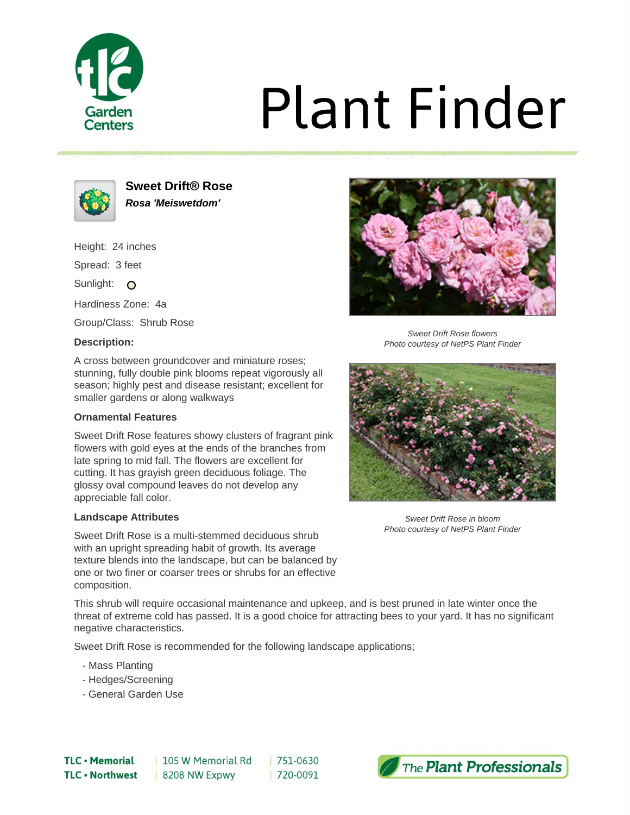

# **Plant Finder**



**Sweet Drift® Rose Rosa 'Meiswetdom'**

Height: 24 inches

Spread: 3 feet

Sunlight: O

Hardiness Zone: 4a

Group/Class: Shrub Rose

### **Description:**



Sweet Drift Rose flowers Photo courtesy of NetPS Plant Finder

A cross between groundcover and miniature roses; stunning, fully double pink blooms repeat vigorously all season; highly pest and disease resistant; excellent for smaller gardens or along walkways

### **Ornamental Features**

Sweet Drift Rose features showy clusters of fragrant pink flowers with gold eyes at the ends of the branches from late spring to mid fall. The flowers are excellent for cutting. It has grayish green deciduous foliage. The glossy oval compound leaves do not develop any appreciable fall color.

### **Landscape Attributes**

Sweet Drift Rose is a multi-stemmed deciduous shrub with an upright spreading habit of growth. Its average texture blends into the landscape, but can be balanced by one or two finer or coarser trees or shrubs for an effective composition.



Sweet Drift Rose in bloom Photo courtesy of NetPS Plant Finder

This shrub will require occasional maintenance and upkeep, and is best pruned in late winter once the threat of extreme cold has passed. It is a good choice for attracting bees to your yard. It has no significant negative characteristics.

Sweet Drift Rose is recommended for the following landscape applications;

- Mass Planting
- Hedges/Screening
- General Garden Use